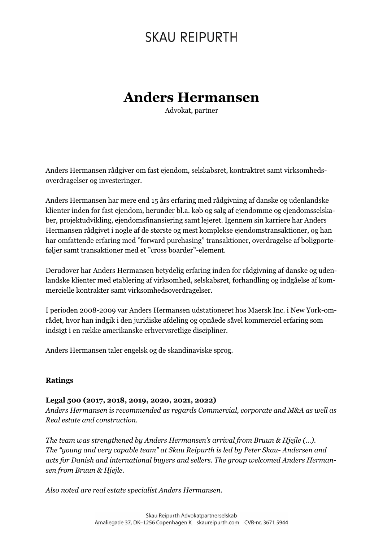## **SKAU REIPURTH**

## **Anders Hermansen**

Advokat, partner

Anders Hermansen rådgiver om fast ejendom, selskabsret, kontraktret samt virksomhedsoverdragelser og investeringer.

Anders Hermansen har mere end 15 års erfaring med rådgivning af danske og udenlandske klienter inden for fast ejendom, herunder bl.a. køb og salg af ejendomme og ejendomsselskaber, projektudvikling, ejendomsfinansiering samt lejeret. Igennem sin karriere har Anders Hermansen rådgivet i nogle af de største og mest komplekse ejendomstransaktioner, og han har omfattende erfaring med "forward purchasing" transaktioner, overdragelse af boligporteføljer samt transaktioner med et "cross boarder"-element.

Derudover har Anders Hermansen betydelig erfaring inden for rådgivning af danske og udenlandske klienter med etablering af virksomhed, selskabsret, forhandling og indgåelse af kommercielle kontrakter samt virksomhedsoverdragelser.

I perioden 2008-2009 var Anders Hermansen udstationeret hos Maersk Inc. i New York-området, hvor han indgik i den juridiske afdeling og opnåede såvel kommerciel erfaring som indsigt i en række amerikanske erhvervsretlige discipliner.

Anders Hermansen taler engelsk og de skandinaviske sprog.

#### **Ratings**

#### **Legal 500 (2017, 2018, 2019, 2020, 2021, 2022)**

*Anders Hermansen is recommended as regards Commercial, corporate and M&A as well as Real estate and construction.*

*The team was strengthened by Anders Hermansen's arrival from Bruun & Hjejle (…). The "young and very capable team" at Skau Reipurth is led by Peter Skau- Andersen and acts for Danish and international buyers and sellers. The group welcomed Anders Hermansen from Bruun & Hjejle.*

*Also noted are real estate specialist Anders Hermansen.*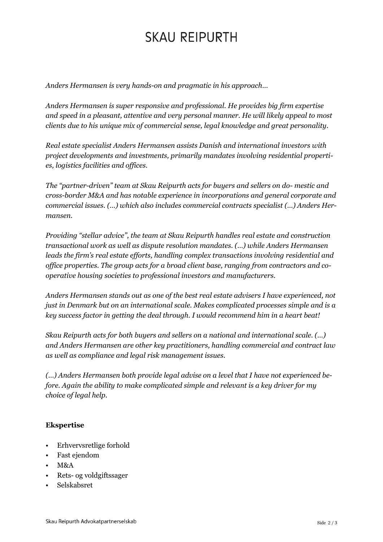# **SKAU REIPURTH**

*Anders Hermansen is very hands-on and pragmatic in his approach…*

*Anders Hermansen is super responsive and professional. He provides big firm expertise and speed in a pleasant, attentive and very personal manner. He will likely appeal to most clients due to his unique mix of commercial sense, legal knowledge and great personality.*

*Real estate specialist Anders Hermansen assists Danish and international investors with project developments and investments, primarily mandates involving residential properties, logistics facilities and offices.*

*The "partner-driven" team at Skau Reipurth acts for buyers and sellers on do- mestic and cross-border M&A and has notable experience in incorporations and general corporate and commercial issues. (…) which also includes commercial contracts specialist (…) Anders Hermansen.*

*Providing "stellar advice", the team at Skau Reipurth handles real estate and construction transactional work as well as dispute resolution mandates. (…) while Anders Hermansen leads the firm's real estate efforts, handling complex transactions involving residential and office properties. The group acts for a broad client base, ranging from contractors and cooperative housing societies to professional investors and manufacturers.*

*Anders Hermansen stands out as one of the best real estate advisers I have experienced, not just in Denmark but on an international scale. Makes complicated processes simple and is a key success factor in getting the deal through. I would recommend him in a heart beat!*

*Skau Reipurth acts for both buyers and sellers on a national and international scale. (…) and Anders Hermansen are other key practitioners, handling commercial and contract law as well as compliance and legal risk management issues.*

*(…) Anders Hermansen both provide legal advise on a level that I have not experienced before. Again the ability to make complicated simple and relevant is a key driver for my choice of legal help.*

#### **Ekspertise**

- Erhvervsretlige forhold
- Fast ejendom
- M&A
- Rets- og voldgiftssager
- Selskabsret